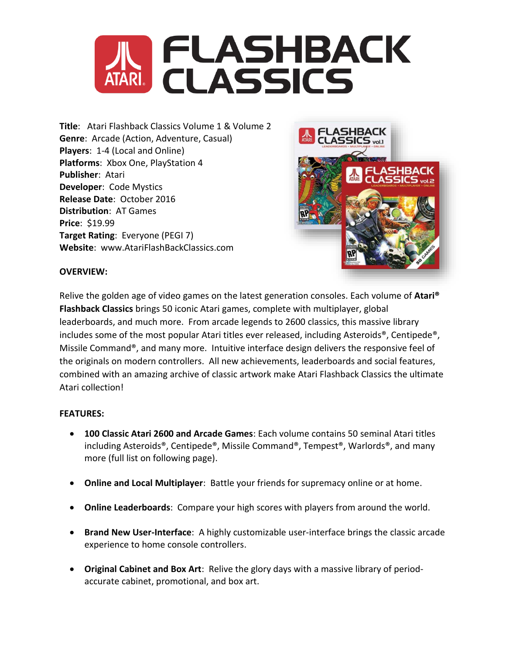

**Title**: Atari Flashback Classics Volume 1 & Volume 2 **Genre**: Arcade (Action, Adventure, Casual) **Players**: 1-4 (Local and Online) **Platforms**: Xbox One, PlayStation 4 **Publisher**: Atari **Developer**: Code Mystics **Release Date**: October 2016 **Distribution**: AT Games **Price**: \$19.99 **Target Rating**: Everyone (PEGI 7) **Website**: www.AtariFlashBackClassics.com



# **OVERVIEW:**

Relive the golden age of video games on the latest generation consoles. Each volume of **Atari® Flashback Classics** brings 50 iconic Atari games, complete with multiplayer, global leaderboards, and much more. From arcade legends to 2600 classics, this massive library includes some of the most popular Atari titles ever released, including Asteroids®, Centipede®, Missile Command®, and many more. Intuitive interface design delivers the responsive feel of the originals on modern controllers. All new achievements, leaderboards and social features, combined with an amazing archive of classic artwork make Atari Flashback Classics the ultimate Atari collection!

# **FEATURES:**

- **100 Classic Atari 2600 and Arcade Games**: Each volume contains 50 seminal Atari titles including Asteroids®, Centipede®, Missile Command®, Tempest®, Warlords®, and many more (full list on following page).
- **Online and Local Multiplayer**: Battle your friends for supremacy online or at home.
- **Online Leaderboards**: Compare your high scores with players from around the world.
- **Brand New User-Interface**: A highly customizable user-interface brings the classic arcade experience to home console controllers.
- **Original Cabinet and Box Art**: Relive the glory days with a massive library of periodaccurate cabinet, promotional, and box art.